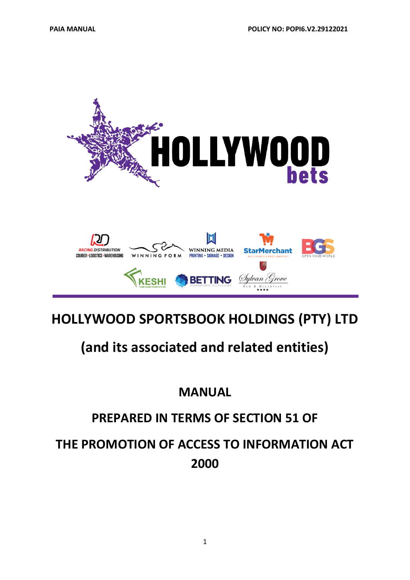

**HOLLYWOOD SPORTSBOOK HOLDINGS (PTY) LTD**

# **(and its associated and related entities)**

# **MANUAL**

# **PREPARED IN TERMS OF SECTION 51 OF**

# **THE PROMOTION OF ACCESS TO INFORMATION ACT 2000**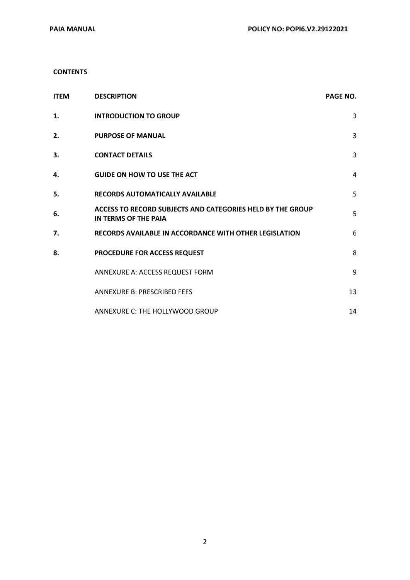#### **CONTENTS**

| <b>ITEM</b> | <b>DESCRIPTION</b>                                                                 | <b>PAGE NO.</b> |
|-------------|------------------------------------------------------------------------------------|-----------------|
| 1.          | <b>INTRODUCTION TO GROUP</b>                                                       | 3               |
| 2.          | <b>PURPOSE OF MANUAL</b>                                                           | 3               |
| 3.          | <b>CONTACT DETAILS</b>                                                             | 3               |
| 4.          | <b>GUIDE ON HOW TO USE THE ACT</b>                                                 | 4               |
| 5.          | <b>RECORDS AUTOMATICALLY AVAILABLE</b>                                             | 5               |
| 6.          | ACCESS TO RECORD SUBJECTS AND CATEGORIES HELD BY THE GROUP<br>IN TERMS OF THE PAIA | 5               |
| 7.          | <b>RECORDS AVAILABLE IN ACCORDANCE WITH OTHER LEGISLATION</b>                      | 6               |
| 8.          | PROCEDURE FOR ACCESS REQUEST                                                       | 8               |
|             | ANNEXURE A: ACCESS REQUEST FORM                                                    | 9               |
|             | <b>ANNEXURE B: PRESCRIBED FEES</b>                                                 | 13              |
|             | ANNEXURE C: THE HOLLYWOOD GROUP                                                    | 14              |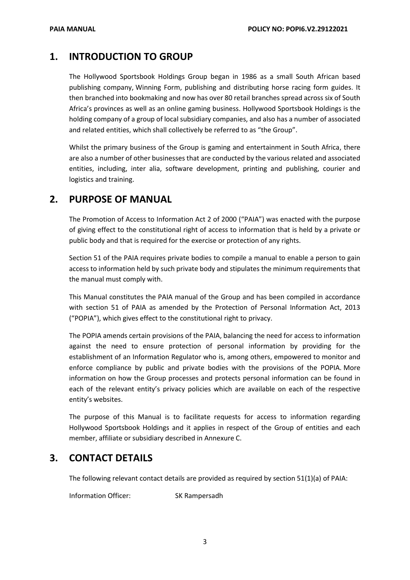### **1. INTRODUCTION TO GROUP**

The Hollywood Sportsbook Holdings Group began in 1986 as a small South African based publishing company, Winning Form, publishing and distributing horse racing form guides. It then branched into bookmaking and now has over 80 retail branches spread across six of South Africa's provinces as well as an online gaming business. Hollywood Sportsbook Holdings is the holding company of a group of local subsidiary companies, and also has a number of associated and related entities, which shall collectively be referred to as "the Group".

Whilst the primary business of the Group is gaming and entertainment in South Africa, there are also a number of other businesses that are conducted by the various related and associated entities, including, inter alia, software development, printing and publishing, courier and logistics and training.

### **2. PURPOSE OF MANUAL**

The Promotion of Access to Information Act 2 of 2000 ("PAIA") was enacted with the purpose of giving effect to the constitutional right of access to information that is held by a private or public body and that is required for the exercise or protection of any rights.

Section 51 of the PAIA requires private bodies to compile a manual to enable a person to gain access to information held by such private body and stipulates the minimum requirements that the manual must comply with.

This Manual constitutes the PAIA manual of the Group and has been compiled in accordance with section 51 of PAIA as amended by the Protection of Personal Information Act, 2013 ("POPIA"), which gives effect to the constitutional right to privacy.

The POPIA amends certain provisions of the PAIA, balancing the need for access to information against the need to ensure protection of personal information by providing for the establishment of an Information Regulator who is, among others, empowered to monitor and enforce compliance by public and private bodies with the provisions of the POPIA. More information on how the Group processes and protects personal information can be found in each of the relevant entity's privacy policies which are available on each of the respective entity's websites.

The purpose of this Manual is to facilitate requests for access to information regarding Hollywood Sportsbook Holdings and it applies in respect of the Group of entities and each member, affiliate or subsidiary described in Annexure C.

### **3. CONTACT DETAILS**

The following relevant contact details are provided as required by section 51(1)(a) of PAIA:

Information Officer: SK Rampersadh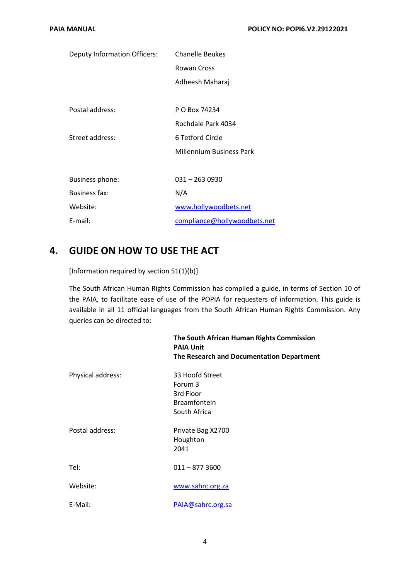| Deputy Information Officers: | <b>Chanelle Beukes</b>          |  |
|------------------------------|---------------------------------|--|
|                              | <b>Rowan Cross</b>              |  |
|                              | Adheesh Maharaj                 |  |
|                              |                                 |  |
| Postal address:              | P O Box 74234                   |  |
|                              | Rochdale Park 4034              |  |
| Street address:              | 6 Tetford Circle                |  |
|                              | <b>Millennium Business Park</b> |  |
|                              |                                 |  |
| Business phone:              | $031 - 2630930$                 |  |
| <b>Business fax:</b>         | N/A                             |  |
| Website:                     | www.hollywoodbets.net           |  |
| E-mail:                      | compliance@hollywoodbets.net    |  |

### **4. GUIDE ON HOW TO USE THE ACT**

[Information required by section 51(1)(b)]

The South African Human Rights Commission has compiled a guide, in terms of Section 10 of the PAIA, to facilitate ease of use of the POPIA for requesters of information. This guide is available in all 11 official languages from the South African Human Rights Commission. Any queries can be directed to:

|                   | The South African Human Rights Commission<br><b>PAIA Unit</b><br>The Research and Documentation Department |
|-------------------|------------------------------------------------------------------------------------------------------------|
| Physical address: | 33 Hoofd Street<br>Forum 3<br>3rd Floor<br><b>Braamfontein</b><br>South Africa                             |
| Postal address:   | Private Bag X2700<br>Houghton<br>2041                                                                      |
| Tel:              | $011 - 8773600$                                                                                            |
| Website:          | www.sahrc.org.za                                                                                           |
| E-Mail:           | PAIA@sahrc.org.sa                                                                                          |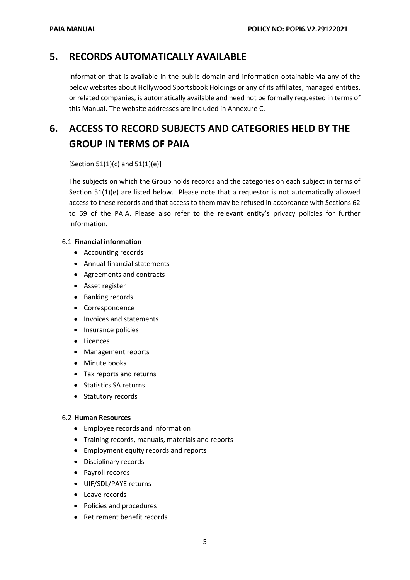### **5. RECORDS AUTOMATICALLY AVAILABLE**

Information that is available in the public domain and information obtainable via any of the below websites about Hollywood Sportsbook Holdings or any of its affiliates, managed entities, or related companies, is automatically available and need not be formally requested in terms of this Manual. The website addresses are included in Annexure C.

## **6. ACCESS TO RECORD SUBJECTS AND CATEGORIES HELD BY THE GROUP IN TERMS OF PAIA**

#### [Section 51(1)(c) and 51(1)(e)]

The subjects on which the Group holds records and the categories on each subject in terms of Section 51(1)(e) are listed below. Please note that a requestor is not automatically allowed access to these records and that access to them may be refused in accordance with Sections 62 to 69 of the PAIA. Please also refer to the relevant entity's privacy policies for further information.

#### 6.1 **Financial information**

- Accounting records
- Annual financial statements
- Agreements and contracts
- Asset register
- Banking records
- Correspondence
- Invoices and statements
- Insurance policies
- Licences
- Management reports
- Minute books
- Tax reports and returns
- Statistics SA returns
- Statutory records

#### 6.2 **Human Resources**

- Employee records and information
- Training records, manuals, materials and reports
- Employment equity records and reports
- Disciplinary records
- Payroll records
- UIF/SDL/PAYE returns
- Leave records
- Policies and procedures
- Retirement benefit records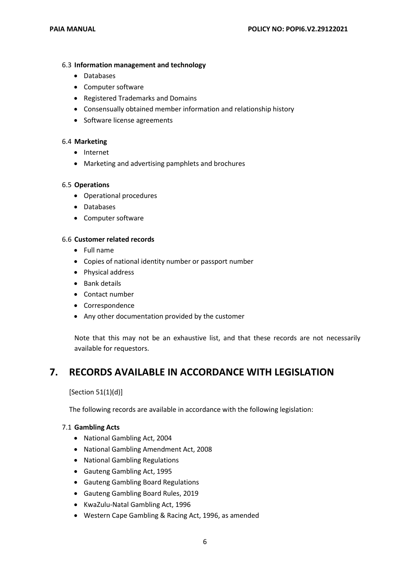#### 6.3 **Information management and technology**

- Databases
- Computer software
- Registered Trademarks and Domains
- Consensually obtained member information and relationship history
- Software license agreements

#### 6.4 **Marketing**

- Internet
- Marketing and advertising pamphlets and brochures

#### 6.5 **Operations**

- Operational procedures
- Databases
- Computer software

#### 6.6 **Customer related records**

- Full name
- Copies of national identity number or passport number
- Physical address
- Bank details
- Contact number
- Correspondence
- Any other documentation provided by the customer

Note that this may not be an exhaustive list, and that these records are not necessarily available for requestors.

### **7. RECORDS AVAILABLE IN ACCORDANCE WITH LEGISLATION**

[Section 51(1)(d)]

The following records are available in accordance with the following legislation:

#### 7.1 **Gambling Acts**

- National Gambling Act, 2004
- National Gambling Amendment Act, 2008
- National Gambling Regulations
- Gauteng Gambling Act, 1995
- Gauteng Gambling Board Regulations
- Gauteng Gambling Board Rules, 2019
- KwaZulu-Natal Gambling Act, 1996
- Western Cape Gambling & Racing Act, 1996, as amended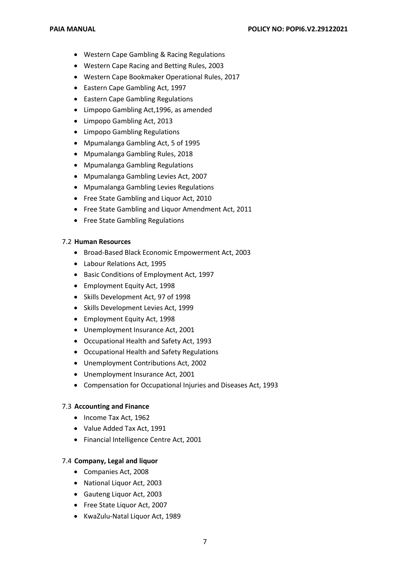- Western Cape Gambling & Racing Regulations
- Western Cape Racing and Betting Rules, 2003
- Western Cape Bookmaker Operational Rules, 2017
- Eastern Cape Gambling Act, 1997
- Eastern Cape Gambling Regulations
- Limpopo Gambling Act,1996, as amended
- Limpopo Gambling Act, 2013
- Limpopo Gambling Regulations
- Mpumalanga Gambling Act, 5 of 1995
- Mpumalanga Gambling Rules, 2018
- Mpumalanga Gambling Regulations
- Mpumalanga Gambling Levies Act, 2007
- Mpumalanga Gambling Levies Regulations
- Free State Gambling and Liquor Act, 2010
- Free State Gambling and Liquor Amendment Act, 2011
- Free State Gambling Regulations

#### 7.2 **Human Resources**

- Broad-Based Black Economic Empowerment Act, 2003
- Labour Relations Act, 1995
- Basic Conditions of Employment Act, 1997
- Employment Equity Act, 1998
- Skills Development Act, 97 of 1998
- Skills Development Levies Act, 1999
- Employment Equity Act, 1998
- Unemployment Insurance Act, 2001
- Occupational Health and Safety Act, 1993
- Occupational Health and Safety Regulations
- Unemployment Contributions Act, 2002
- Unemployment Insurance Act, 2001
- Compensation for Occupational Injuries and Diseases Act, 1993

#### 7.3 **Accounting and Finance**

- Income Tax Act, 1962
- Value Added Tax Act, 1991
- Financial Intelligence Centre Act, 2001

#### 7.4 **Company, Legal and liquor**

- Companies Act, 2008
- National Liquor Act, 2003
- Gauteng Liquor Act, 2003
- Free State Liquor Act, 2007
- KwaZulu-Natal Liquor Act, 1989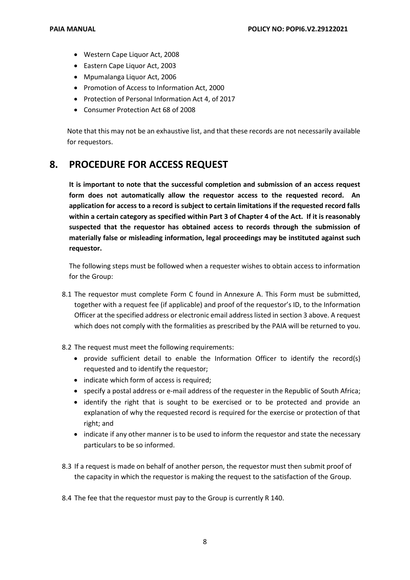- Western Cape Liquor Act, 2008
- Eastern Cape Liquor Act, 2003
- Mpumalanga Liquor Act, 2006
- Promotion of Access to Information Act, 2000
- Protection of Personal Information Act 4, of 2017
- Consumer Protection Act 68 of 2008

Note that this may not be an exhaustive list, and that these records are not necessarily available for requestors.

### **8. PROCEDURE FOR ACCESS REQUEST**

**It is important to note that the successful completion and submission of an access request form does not automatically allow the requestor access to the requested record. An application for access to a record is subject to certain limitations if the requested record falls within a certain category as specified within Part 3 of Chapter 4 of the Act. If it is reasonably suspected that the requestor has obtained access to records through the submission of materially false or misleading information, legal proceedings may be instituted against such requestor.**

The following steps must be followed when a requester wishes to obtain access to information for the Group:

- 8.1 The requestor must complete Form C found in Annexure A. This Form must be submitted, together with a request fee (if applicable) and proof of the requestor's ID, to the Information Officer at the specified address or electronic email address listed in section 3 above. A request which does not comply with the formalities as prescribed by the PAIA will be returned to you.
- 8.2 The request must meet the following requirements:
	- provide sufficient detail to enable the Information Officer to identify the record(s) requested and to identify the requestor;
	- indicate which form of access is required;
	- specify a postal address or e-mail address of the requester in the Republic of South Africa;
	- identify the right that is sought to be exercised or to be protected and provide an explanation of why the requested record is required for the exercise or protection of that right; and
	- indicate if any other manner is to be used to inform the requestor and state the necessary particulars to be so informed.
- 8.3 If a request is made on behalf of another person, the requestor must then submit proof of the capacity in which the requestor is making the request to the satisfaction of the Group.
- 8.4 The fee that the requestor must pay to the Group is currently R 140.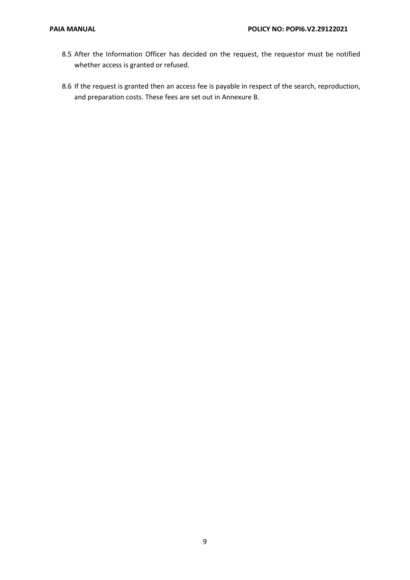- 8.5 After the Information Officer has decided on the request, the requestor must be notified whether access is granted or refused.
- 8.6 If the request is granted then an access fee is payable in respect of the search, reproduction, and preparation costs. These fees are set out in Annexure B.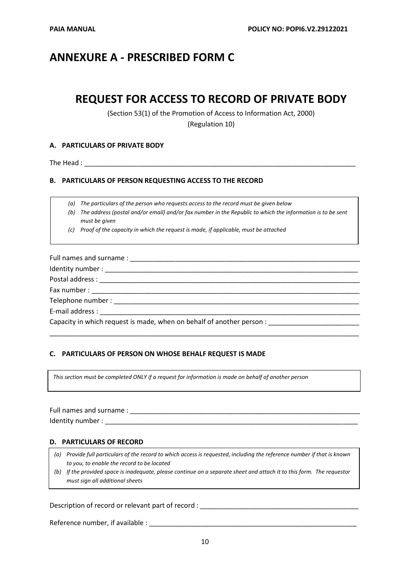### **ANNEXURE A - PRESCRIBED FORM C**

### **REQUEST FOR ACCESS TO RECORD OF PRIVATE BODY**

(Section 53(1) of the Promotion of Access to Information Act, 2000)

(Regulation 10)

#### **A. PARTICULARS OF PRIVATE BODY**

The Head :

#### **B. PARTICULARS OF PERSON REQUESTING ACCESS TO THE RECORD**

*(a) The particulars of the person who requests access to the record must be given below*

*(b) The address (postal and/or email) and/or fax number in the Republic to which the information is to be sent must be given*

*(c) Proof of the capacity in which the request is made, if applicable, must be attached*

Full names and surname : \_\_\_\_\_\_\_\_\_\_\_\_\_\_\_\_\_\_\_\_\_\_\_\_\_\_\_\_\_\_\_\_\_\_\_\_\_\_\_\_\_\_\_\_\_\_\_\_\_\_\_\_\_\_\_\_\_\_\_\_\_ Identity number : \_\_\_\_\_\_\_\_\_\_\_\_\_\_\_\_\_\_\_\_\_\_\_\_\_\_\_\_\_\_\_\_\_\_\_\_\_\_\_\_\_\_\_\_\_\_\_\_\_\_\_\_\_\_\_\_\_\_\_\_\_\_\_\_\_\_\_ Postal address : \_\_\_\_\_\_\_\_\_\_\_\_\_\_\_\_\_\_\_\_\_\_\_\_\_\_\_\_\_\_\_\_\_\_\_\_\_\_\_\_\_\_\_\_\_\_\_\_\_\_\_\_\_\_\_\_\_\_\_\_\_\_\_\_\_\_\_\_\_ Fax number : Telephone number : E-mail address : Capacity in which request is made, when on behalf of another person :

\_\_\_\_\_\_\_\_\_\_\_\_\_\_\_\_\_\_\_\_\_\_\_\_\_\_\_\_\_\_\_\_\_\_\_\_\_\_\_\_\_\_\_\_\_\_\_\_\_\_\_\_\_\_\_\_\_\_\_\_\_\_\_\_\_\_\_\_\_\_\_\_\_\_\_\_\_\_\_\_\_\_

#### **C. PARTICULARS OF PERSON ON WHOSE BEHALF REQUEST IS MADE**

*This section must be completed ONLY if a request for information is made on behalf of another person*

| Full names and surname: |  |
|-------------------------|--|
| Identity number:        |  |

#### **D. PARTICULARS OF RECORD**

| (a) Provide full particulars of the record to which access is requested, including the reference number if that is known |
|--------------------------------------------------------------------------------------------------------------------------|
| to you, to enable the record to be located                                                                               |

*(b) If the provided space is inadequate, please continue on a separate sheet and attach it to this form. The requestor must sign all additional sheets*

#### Description of record or relevant part of record : \_\_\_\_\_\_\_\_\_\_\_\_\_\_\_\_\_\_\_\_\_\_\_\_\_\_\_\_\_\_\_\_\_\_\_\_\_\_\_\_\_\_

Reference number, if available :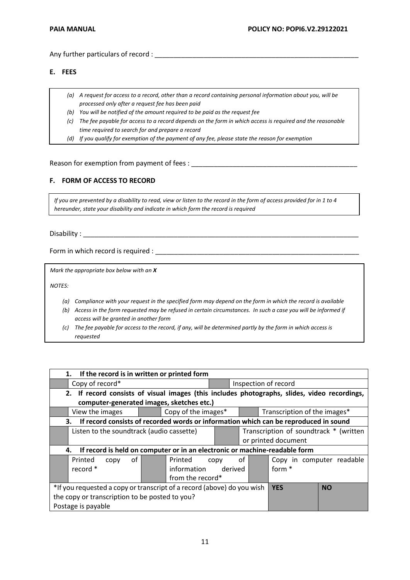Any further particulars of record : \_\_\_\_\_\_\_\_\_\_\_\_\_\_\_\_\_\_\_\_\_\_\_\_\_\_\_\_\_\_\_\_\_\_\_\_\_\_\_\_\_\_\_\_\_\_\_\_\_\_\_\_\_\_

#### **E. FEES**

- *(a) A request for access to a record, other than a record containing personal information about you, will be processed only after a request fee has been paid*
- *(b) You will be notified of the amount required to be paid as the request fee*
- *(c) The fee payable for access to a record depends on the form in which access is required and the reasonable time required to search for and prepare a record*
- *(d) If you qualify for exemption of the payment of any fee, please state the reason for exemption*

#### Reason for exemption from payment of fees :

#### **F. FORM OF ACCESS TO RECORD**

*If you are prevented by a disability to read, view or listen to the record in the form of access provided for in 1 to 4 hereunder, state your disability and indicate in which form the record is required*

Disability : \_\_\_\_\_\_\_\_\_\_\_\_\_\_\_\_\_\_\_\_\_\_\_\_\_\_\_\_\_\_\_\_\_\_\_\_\_\_\_\_\_\_\_\_\_\_\_\_\_\_\_\_\_\_\_\_\_\_\_\_\_\_\_\_\_\_\_\_\_\_\_\_\_

Form in which record is required : \_\_\_\_\_\_\_\_\_\_\_\_\_\_\_\_\_\_\_\_\_\_\_\_\_\_\_\_\_\_\_\_\_\_\_\_\_\_\_\_\_\_\_\_\_\_\_\_\_\_\_\_\_\_

*Mark the appropriate box below with an X*

*NOTES:*

- *(a) Compliance with your request in the specified form may depend on the form in which the record is available*
- *(b) Access in the form requested may be refused in certain circumstances. In such a case you will be informed if access will be granted in another form*
- *(c) The fee payable for access to the record, if any, will be determined partly by the form in which access is requested*

| 1. If the record is in written or printed form                                               |                                         |                              |  |  |  |  |
|----------------------------------------------------------------------------------------------|-----------------------------------------|------------------------------|--|--|--|--|
| Copy of record*                                                                              | Inspection of record                    |                              |  |  |  |  |
| 2. If record consists of visual images (this includes photographs, slides, video recordings, |                                         |                              |  |  |  |  |
| computer-generated images, sketches etc.)                                                    |                                         |                              |  |  |  |  |
| Copy of the images*<br>View the images                                                       |                                         | Transcription of the images* |  |  |  |  |
| If record consists of recorded words or information which can be reproduced in sound<br>3.   |                                         |                              |  |  |  |  |
| Listen to the soundtrack (audio cassette)                                                    | Transcription of soundtrack * (written  |                              |  |  |  |  |
|                                                                                              | or printed document                     |                              |  |  |  |  |
| If record is held on computer or in an electronic or machine-readable form<br>4.             |                                         |                              |  |  |  |  |
| of<br>Printed<br>Printed<br>copy                                                             | οf<br>Copy in computer readable<br>copy |                              |  |  |  |  |
| record *<br>information                                                                      | form *<br>derived                       |                              |  |  |  |  |
| from the record*                                                                             |                                         |                              |  |  |  |  |
| *If you requested a copy or transcript of a record (above) do you wish                       | <b>YES</b>                              | <b>NO</b>                    |  |  |  |  |
| the copy or transcription to be posted to you?                                               |                                         |                              |  |  |  |  |
| Postage is payable                                                                           |                                         |                              |  |  |  |  |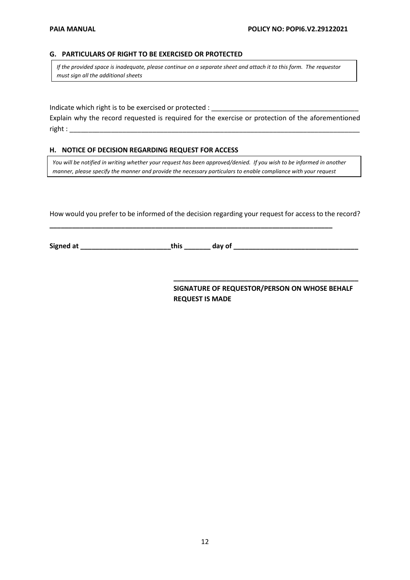#### **G. PARTICULARS OF RIGHT TO BE EXERCISED OR PROTECTED**

*If the provided space is inadequate, please continue on a separate sheet and attach it to this form. The requestor must sign all the additional sheets*

Indicate which right is to be exercised or protected :

Explain why the record requested is required for the exercise or protection of the aforementioned  $right:$ :

#### **H. NOTICE OF DECISION REGARDING REQUEST FOR ACCESS**

*You will be notified in writing whether your request has been approved/denied. If you wish to be informed in another manner, please specify the manner and provide the necessary particulars to enable compliance with your request*

How would you prefer to be informed of the decision regarding your request for access to the record?

**\_\_\_\_\_\_\_\_\_\_\_\_\_\_\_\_\_\_\_\_\_\_\_\_\_\_\_\_\_\_\_\_\_\_\_\_\_\_\_\_\_\_\_\_\_\_\_\_\_\_\_\_\_\_\_\_\_\_\_\_\_\_\_\_\_\_\_\_\_\_\_\_\_\_\_**

**Signed at \_\_\_\_\_\_\_\_\_\_\_\_\_\_\_\_\_\_\_\_\_\_\_\_this \_\_\_\_\_\_\_ day of \_\_\_\_\_\_\_\_\_\_\_\_\_\_\_\_\_\_\_\_\_\_\_\_\_\_\_\_\_\_\_\_\_**

**SIGNATURE OF REQUESTOR/PERSON ON WHOSE BEHALF REQUEST IS MADE**

**\_\_\_\_\_\_\_\_\_\_\_\_\_\_\_\_\_\_\_\_\_\_\_\_\_\_\_\_\_\_\_\_\_\_\_\_\_\_\_\_\_\_\_\_\_\_\_\_\_**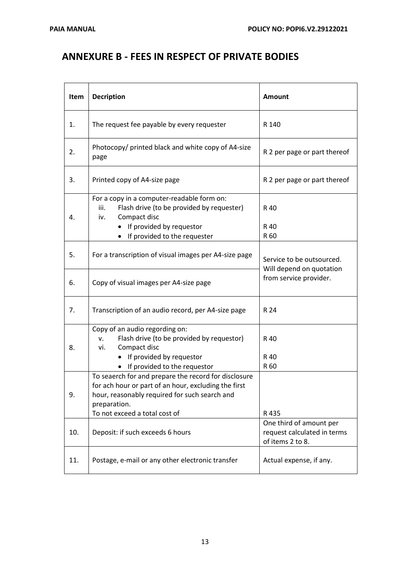### **ANNEXURE B - FEES IN RESPECT OF PRIVATE BODIES**

| Item | <b>Decription</b>                                                                                                                                                                                              | Amount                                                                     |  |
|------|----------------------------------------------------------------------------------------------------------------------------------------------------------------------------------------------------------------|----------------------------------------------------------------------------|--|
| 1.   | The request fee payable by every requester                                                                                                                                                                     | R 140                                                                      |  |
| 2.   | Photocopy/ printed black and white copy of A4-size<br>page                                                                                                                                                     | R 2 per page or part thereof                                               |  |
| 3.   | Printed copy of A4-size page                                                                                                                                                                                   | R 2 per page or part thereof                                               |  |
| 4.   | For a copy in a computer-readable form on:<br>Flash drive (to be provided by requester)<br>iii.<br>Compact disc<br>iv.<br>If provided by requestor<br>٠<br>If provided to the requester                        | R 40<br>R 40<br>R 60                                                       |  |
| 5.   | For a transcription of visual images per A4-size page                                                                                                                                                          | Service to be outsourced.<br>Will depend on quotation                      |  |
| 6.   | Copy of visual images per A4-size page                                                                                                                                                                         | from service provider.                                                     |  |
| 7.   | Transcription of an audio record, per A4-size page                                                                                                                                                             | R 24                                                                       |  |
| 8.   | Copy of an audio regording on:<br>Flash drive (to be provided by requestor)<br>v.<br>Compact disc<br>vi.<br>If provided by requestor<br>• If provided to the requestor                                         | R 40<br>R 40<br>R 60                                                       |  |
| 9.   | To seaerch for and prepare the record for disclosure<br>for ach hour or part of an hour, excluding the first<br>hour, reasonably required for such search and<br>preparation.<br>To not exceed a total cost of | R 435                                                                      |  |
| 10.  | Deposit: if such exceeds 6 hours                                                                                                                                                                               | One third of amount per<br>request calculated in terms<br>of items 2 to 8. |  |
| 11.  | Postage, e-mail or any other electronic transfer                                                                                                                                                               | Actual expense, if any.                                                    |  |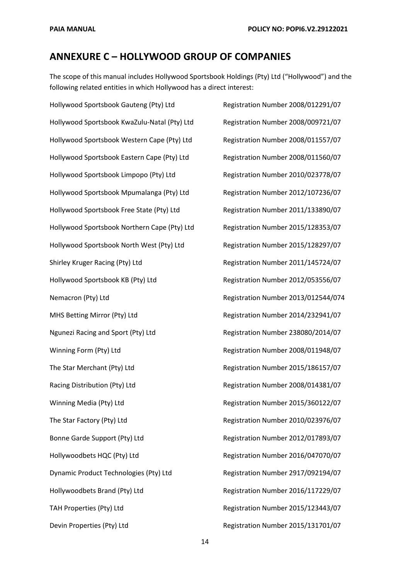### **ANNEXURE C – HOLLYWOOD GROUP OF COMPANIES**

The scope of this manual includes Hollywood Sportsbook Holdings (Pty) Ltd ("Hollywood") and the following related entities in which Hollywood has a direct interest:

Hollywood Sportsbook Gauteng (Pty) Ltd Registration Number 2008/012291/07 Hollywood Sportsbook KwaZulu-Natal (Pty) Ltd Registration Number 2008/009721/07 Hollywood Sportsbook Western Cape (Pty) Ltd Registration Number 2008/011557/07 Hollywood Sportsbook Eastern Cape (Pty) Ltd Registration Number 2008/011560/07 Hollywood Sportsbook Limpopo (Pty) Ltd Registration Number 2010/023778/07 Hollywood Sportsbook Mpumalanga (Pty) Ltd Registration Number 2012/107236/07 Hollywood Sportsbook Free State (Pty) Ltd Registration Number 2011/133890/07 Hollywood Sportsbook Northern Cape (Pty) Ltd Registration Number 2015/128353/07 Hollywood Sportsbook North West (Pty) Ltd Registration Number 2015/128297/07 Shirley Kruger Racing (Pty) Ltd **Registration Number 2011/145724/07** Hollywood Sportsbook KB (Pty) Ltd Registration Number 2012/053556/07 Nemacron (Pty) Ltd **Registration Number 2013/012544/074** MHS Betting Mirror (Pty) Ltd Registration Number 2014/232941/07 Ngunezi Racing and Sport (Pty) Ltd Registration Number 238080/2014/07 Winning Form (Pty) Ltd **Registration Number 2008/011948/07** The Star Merchant (Pty) Ltd Registration Number 2015/186157/07 Racing Distribution (Pty) Ltd Registration Number 2008/014381/07 Winning Media (Pty) Ltd **Registration Number 2015/360122/07** The Star Factory (Pty) Ltd Registration Number 2010/023976/07 Bonne Garde Support (Pty) Ltd Registration Number 2012/017893/07 Hollywoodbets HQC (Pty) Ltd Registration Number 2016/047070/07 Dynamic Product Technologies (Pty) Ltd Registration Number 2917/092194/07 Hollywoodbets Brand (Pty) Ltd Registration Number 2016/117229/07 TAH Properties (Pty) Ltd Registration Number 2015/123443/07 Devin Properties (Pty) Ltd Registration Number 2015/131701/07